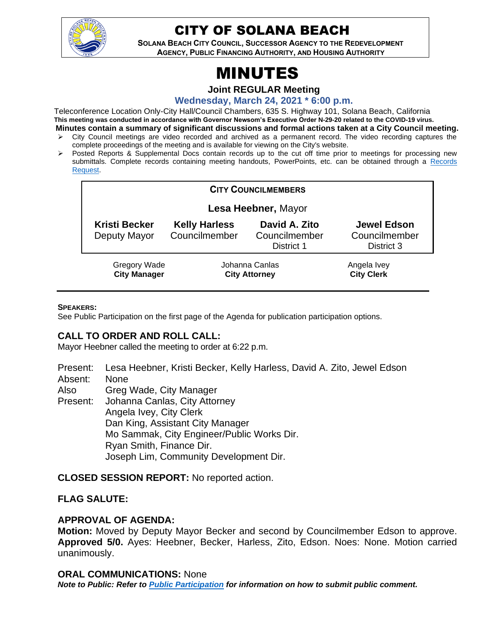

# CITY OF SOLANA BEACH

**SOLANA BEACH CITY COUNCIL, SUCCESSOR AGENCY TO THE REDEVELOPMENT AGENCY, PUBLIC FINANCING AUTHORITY, AND HOUSING AUTHORITY** 

# MINUTES

**Joint REGULAR Meeting**

**Wednesday, March 24, 2021 \* 6:00 p.m.** 

Teleconference Location Only-City Hall/Council Chambers, 635 S. Highway 101, Solana Beach, California **This meeting was conducted in accordance with Governor Newsom's Executive Order N-29-20 related to the COVID-19 virus. Minutes contain a summary of significant discussions and formal actions taken at a City Council meeting.**

- City Council meetings are video recorded and archived as a permanent record. The video recording captures the complete proceedings of the meeting and is available for viewing on the City's website.
- ➢ Posted Reports & Supplemental Docs contain records up to the cut off time prior to meetings for processing new submittals. Complete records containing meeting handouts, PowerPoints, etc. can be obtained through a Records [Request.](http://www.ci.solana-beach.ca.us/index.asp?SEC=F5D45D10-70CE-4291-A27C-7BD633FC6742&Type=B_BASIC)

| <b>CITY COUNCILMEMBERS</b>                 |                                        |                                              |                                                   |
|--------------------------------------------|----------------------------------------|----------------------------------------------|---------------------------------------------------|
| Lesa Heebner, Mayor                        |                                        |                                              |                                                   |
| <b>Kristi Becker</b><br>Deputy Mayor       | <b>Kelly Harless</b><br>Councilmember  | David A. Zito<br>Councilmember<br>District 1 | <b>Jewel Edson</b><br>Councilmember<br>District 3 |
| <b>Gregory Wade</b><br><b>City Manager</b> | Johanna Canlas<br><b>City Attorney</b> |                                              | Angela Ivey<br><b>City Clerk</b>                  |

#### **SPEAKERS:**

See Public Participation on the first page of the Agenda for publication participation options.

# **CALL TO ORDER AND ROLL CALL:**

Mayor Heebner called the meeting to order at 6:22 p.m.

Present: Lesa Heebner, Kristi Becker, Kelly Harless, David A. Zito, Jewel Edson Absent: None

Also Greg Wade, City Manager

Present: Johanna Canlas, City Attorney Angela Ivey, City Clerk Dan King, Assistant City Manager Mo Sammak, City Engineer/Public Works Dir. Ryan Smith, Finance Dir. Joseph Lim, Community Development Dir.

**CLOSED SESSION REPORT:** No reported action.

# **FLAG SALUTE:**

#### **APPROVAL OF AGENDA:**

**Motion:** Moved by Deputy Mayor Becker and second by Councilmember Edson to approve. **Approved 5/0.** Ayes: Heebner, Becker, Harless, Zito, Edson. Noes: None. Motion carried unanimously.

#### **ORAL COMMUNICATIONS:** None

*Note to Public: Refer to Public Participation for information on how to submit public comment.*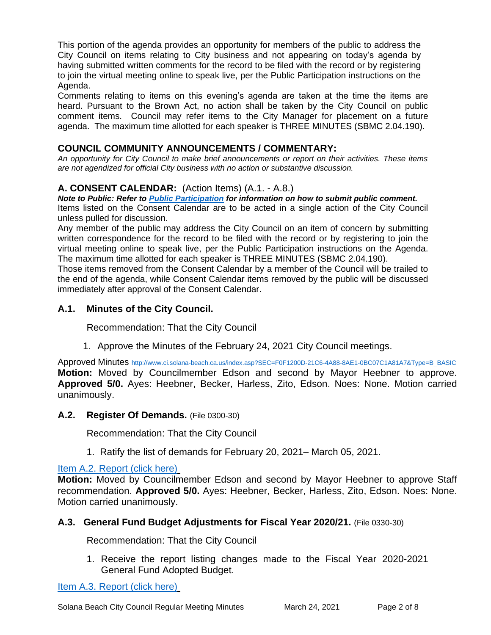This portion of the agenda provides an opportunity for members of the public to address the City Council on items relating to City business and not appearing on today's agenda by having submitted written comments for the record to be filed with the record or by registering to join the virtual meeting online to speak live, per the Public Participation instructions on the Agenda.

Comments relating to items on this evening's agenda are taken at the time the items are heard. Pursuant to the Brown Act, no action shall be taken by the City Council on public comment items. Council may refer items to the City Manager for placement on a future agenda. The maximum time allotted for each speaker is THREE MINUTES (SBMC 2.04.190).

# **COUNCIL COMMUNITY ANNOUNCEMENTS / COMMENTARY:**

*An opportunity for City Council to make brief announcements or report on their activities. These items are not agendized for official City business with no action or substantive discussion.* 

# **A. CONSENT CALENDAR:** (Action Items) (A.1. - A.8.)

*Note to Public: Refer to Public Participation for information on how to submit public comment.*  Items listed on the Consent Calendar are to be acted in a single action of the City Council unless pulled for discussion.

Any member of the public may address the City Council on an item of concern by submitting written correspondence for the record to be filed with the record or by registering to join the virtual meeting online to speak live, per the Public Participation instructions on the Agenda. The maximum time allotted for each speaker is THREE MINUTES (SBMC 2.04.190).

Those items removed from the Consent Calendar by a member of the Council will be trailed to the end of the agenda, while Consent Calendar items removed by the public will be discussed immediately after approval of the Consent Calendar.

# **A.1. Minutes of the City Council.**

Recommendation: That the City Council

1. Approve the Minutes of the February 24, 2021 City Council meetings.

Approved Minutes [http://www.ci.solana-beach.ca.us/index.asp?SEC=F0F1200D-21C6-4A88-8AE1-0BC07C1A81A7&Type=B\\_BASIC](http://www.ci.solana-beach.ca.us/index.asp?SEC=F0F1200D-21C6-4A88-8AE1-0BC07C1A81A7&Type=B_BASIC) **Motion:** Moved by Councilmember Edson and second by Mayor Heebner to approve. **Approved 5/0.** Ayes: Heebner, Becker, Harless, Zito, Edson. Noes: None. Motion carried unanimously.

#### **A.2. Register Of Demands.** (File 0300-30)

Recommendation: That the City Council

1. Ratify the list of demands for February 20, 2021– March 05, 2021.

# [Item A.2. Report \(click here\)](https://solanabeach.govoffice3.com/vertical/Sites/%7B840804C2-F869-4904-9AE3-720581350CE7%7D/uploads/Item_A.2._Report_(click_here)_03-24-21_O.pdf)

**Motion:** Moved by Councilmember Edson and second by Mayor Heebner to approve Staff recommendation. **Approved 5/0.** Ayes: Heebner, Becker, Harless, Zito, Edson. Noes: None. Motion carried unanimously.

#### **A.3. General Fund Budget Adjustments for Fiscal Year 2020/21.** (File 0330-30)

Recommendation: That the City Council

1. Receive the report listing changes made to the Fiscal Year 2020-2021 General Fund Adopted Budget.

[Item A.3. Report \(click here\)](https://solanabeach.govoffice3.com/vertical/Sites/%7B840804C2-F869-4904-9AE3-720581350CE7%7D/uploads/Item_A.3._Report_(click_here)_03-24-21_O.pdf)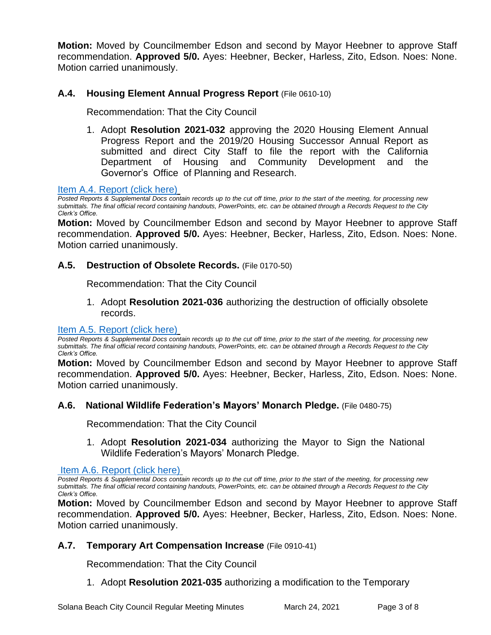**Motion:** Moved by Councilmember Edson and second by Mayor Heebner to approve Staff recommendation. **Approved 5/0.** Ayes: Heebner, Becker, Harless, Zito, Edson. Noes: None. Motion carried unanimously.

# **A.4. Housing Element Annual Progress Report** (File 0610-10)

Recommendation: That the City Council

1. Adopt **Resolution 2021-032** approving the 2020 Housing Element Annual Progress Report and the 2019/20 Housing Successor Annual Report as submitted and direct City Staff to file the report with the California Department of Housing and Community Development and the Governor's Office of Planning and Research.

#### [Item A.4. Report \(click here\)](https://solanabeach.govoffice3.com/vertical/Sites/%7B840804C2-F869-4904-9AE3-720581350CE7%7D/uploads/Item_A.4._Report_(click_here)_03-24-21_O.pdf)

*Posted Reports & Supplemental Docs contain records up to the cut off time, prior to the start of the meeting, for processing new submittals. The final official record containing handouts, PowerPoints, etc. can be obtained through a Records Request to the City Clerk's Office.*

**Motion:** Moved by Councilmember Edson and second by Mayor Heebner to approve Staff recommendation. **Approved 5/0.** Ayes: Heebner, Becker, Harless, Zito, Edson. Noes: None. Motion carried unanimously.

#### **A.5. Destruction of Obsolete Records.** (File 0170-50)

Recommendation: That the City Council

1. Adopt **Resolution 2021-036** authorizing the destruction of officially obsolete records.

#### Item A.5. [Report \(click here\)](https://solanabeach.govoffice3.com/vertical/Sites/%7B840804C2-F869-4904-9AE3-720581350CE7%7D/uploads/Item_A.5._Report_(click_here)_03-24-21_O.pdf)

*Posted Reports & Supplemental Docs contain records up to the cut off time, prior to the start of the meeting, for processing new submittals. The final official record containing handouts, PowerPoints, etc. can be obtained through a Records Request to the City Clerk's Office.*

**Motion:** Moved by Councilmember Edson and second by Mayor Heebner to approve Staff recommendation. **Approved 5/0.** Ayes: Heebner, Becker, Harless, Zito, Edson. Noes: None. Motion carried unanimously.

#### **A.6. National Wildlife Federation's Mayors' Monarch Pledge.** (File 0480-75)

Recommendation: That the City Council

1. Adopt **Resolution 2021-034** authorizing the Mayor to Sign the National Wildlife Federation's Mayors' Monarch Pledge.

[Item A.6. Report \(click here\)](https://solanabeach.govoffice3.com/vertical/Sites/%7B840804C2-F869-4904-9AE3-720581350CE7%7D/uploads/Item_A.6._Report_(click_here)_03-24-21_O.pdf)

*Posted Reports & Supplemental Docs contain records up to the cut off time, prior to the start of the meeting, for processing new submittals. The final official record containing handouts, PowerPoints, etc. can be obtained through a Records Request to the City Clerk's Office.*

**Motion:** Moved by Councilmember Edson and second by Mayor Heebner to approve Staff recommendation. **Approved 5/0.** Ayes: Heebner, Becker, Harless, Zito, Edson. Noes: None. Motion carried unanimously.

# **A.7. Temporary Art Compensation Increase** (File 0910-41)

Recommendation: That the City Council

1. Adopt **Resolution 2021-035** authorizing a modification to the Temporary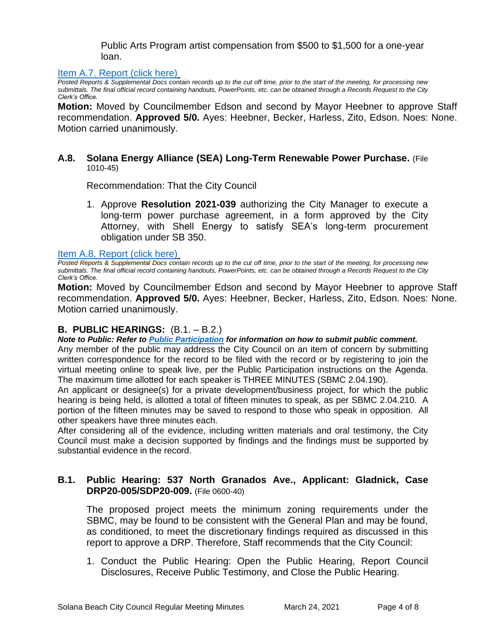Public Arts Program artist compensation from \$500 to \$1,500 for a one-year loan.

# [Item A.7. Report \(click here\)](https://solanabeach.govoffice3.com/vertical/Sites/%7B840804C2-F869-4904-9AE3-720581350CE7%7D/uploads/Item_A.7._Report_(click_here)_03-24-21_O.pdf)

*Posted Reports & Supplemental Docs contain records up to the cut off time, prior to the start of the meeting, for processing new submittals. The final official record containing handouts, PowerPoints, etc. can be obtained through a Records Request to the City Clerk's Office.*

**Motion:** Moved by Councilmember Edson and second by Mayor Heebner to approve Staff recommendation. **Approved 5/0.** Ayes: Heebner, Becker, Harless, Zito, Edson. Noes: None. Motion carried unanimously.

#### **A.8. Solana Energy Alliance (SEA) Long-Term Renewable Power Purchase.** (File 1010-45)

Recommendation: That the City Council

1. Approve **Resolution 2021-039** authorizing the City Manager to execute a long-term power purchase agreement, in a form approved by the City Attorney, with Shell Energy to satisfy SEA's long-term procurement obligation under SB 350.

[Item A.8. Report \(click here\)](https://solanabeach.govoffice3.com/vertical/Sites/%7B840804C2-F869-4904-9AE3-720581350CE7%7D/uploads/Item_A.8._Report_(click_here)_03-24-21_O.pdf)

*Posted Reports & Supplemental Docs contain records up to the cut off time, prior to the start of the meeting, for processing new submittals. The final official record containing handouts, PowerPoints, etc. can be obtained through a Records Request to the City Clerk's Office.*

**Motion:** Moved by Councilmember Edson and second by Mayor Heebner to approve Staff recommendation. **Approved 5/0.** Ayes: Heebner, Becker, Harless, Zito, Edson. Noes: None. Motion carried unanimously.

# **B. PUBLIC HEARINGS:** (B.1. – B.2.)

*Note to Public: Refer to Public Participation for information on how to submit public comment.*  Any member of the public may address the City Council on an item of concern by submitting written correspondence for the record to be filed with the record or by registering to join the virtual meeting online to speak live, per the Public Participation instructions on the Agenda. The maximum time allotted for each speaker is THREE MINUTES (SBMC 2.04.190).

An applicant or designee(s) for a private development/business project, for which the public hearing is being held, is allotted a total of fifteen minutes to speak, as per SBMC 2.04.210. A portion of the fifteen minutes may be saved to respond to those who speak in opposition. All other speakers have three minutes each.

After considering all of the evidence, including written materials and oral testimony, the City Council must make a decision supported by findings and the findings must be supported by substantial evidence in the record.

# **B.1. Public Hearing: 537 North Granados Ave., Applicant: Gladnick, Case DRP20-005/SDP20-009.** (File 0600-40)

The proposed project meets the minimum zoning requirements under the SBMC, may be found to be consistent with the General Plan and may be found, as conditioned, to meet the discretionary findings required as discussed in this report to approve a DRP. Therefore, Staff recommends that the City Council:

1. Conduct the Public Hearing: Open the Public Hearing, Report Council Disclosures, Receive Public Testimony, and Close the Public Hearing.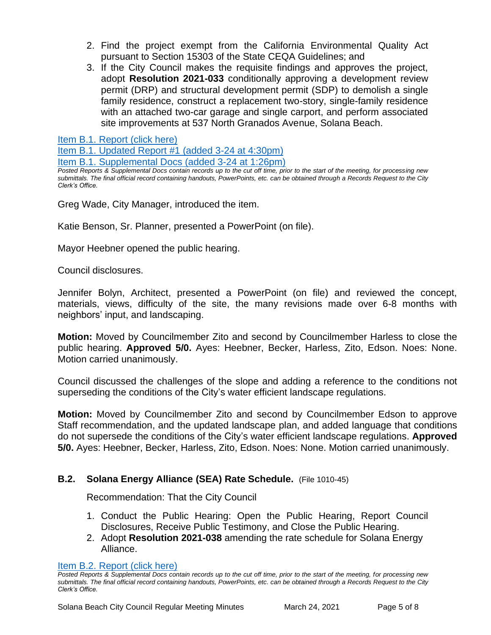- 2. Find the project exempt from the California Environmental Quality Act pursuant to Section 15303 of the State CEQA Guidelines; and
- 3. If the City Council makes the requisite findings and approves the project, adopt **Resolution 2021-033** conditionally approving a development review permit (DRP) and structural development permit (SDP) to demolish a single family residence, construct a replacement two-story, single-family residence with an attached two-car garage and single carport, and perform associated site improvements at 537 North Granados Avenue, Solana Beach.

[Item B.1. Report \(click here\)](https://solanabeach.govoffice3.com/vertical/Sites/%7B840804C2-F869-4904-9AE3-720581350CE7%7D/uploads/Item_B.1._Report_(click_here)_03-24-21_O.pdf)

[Item B.1. Updated Report #1 \(added 3-24 at 4:30pm\)](https://solanabeach.govoffice3.com/vertical/Sites/%7B840804C2-F869-4904-9AE3-720581350CE7%7D/uploads/Item_B.1._Updated_Report_1_(3-24_430pm).pdf) [Item B.1. Supplemental Docs \(added](https://solanabeach.govoffice3.com/vertical/Sites/%7B840804C2-F869-4904-9AE3-720581350CE7%7D/uploads/Item_B.1._Supplemental_Docs_(3-24_at_126pm)_-_O.pdf) 3-24 at 1:26pm)

*Posted Reports & Supplemental Docs contain records up to the cut off time, prior to the start of the meeting, for processing new submittals. The final official record containing handouts, PowerPoints, etc. can be obtained through a Records Request to the City Clerk's Office.*

Greg Wade, City Manager, introduced the item.

Katie Benson, Sr. Planner, presented a PowerPoint (on file).

Mayor Heebner opened the public hearing.

Council disclosures.

Jennifer Bolyn, Architect, presented a PowerPoint (on file) and reviewed the concept, materials, views, difficulty of the site, the many revisions made over 6-8 months with neighbors' input, and landscaping.

**Motion:** Moved by Councilmember Zito and second by Councilmember Harless to close the public hearing. **Approved 5/0.** Ayes: Heebner, Becker, Harless, Zito, Edson. Noes: None. Motion carried unanimously.

Council discussed the challenges of the slope and adding a reference to the conditions not superseding the conditions of the City's water efficient landscape regulations.

**Motion:** Moved by Councilmember Zito and second by Councilmember Edson to approve Staff recommendation, and the updated landscape plan, and added language that conditions do not supersede the conditions of the City's water efficient landscape regulations. **Approved 5/0.** Ayes: Heebner, Becker, Harless, Zito, Edson. Noes: None. Motion carried unanimously.

# **B.2. Solana Energy Alliance (SEA) Rate Schedule.** (File 1010-45)

Recommendation: That the City Council

- 1. Conduct the Public Hearing: Open the Public Hearing, Report Council Disclosures, Receive Public Testimony, and Close the Public Hearing.
- 2. Adopt **Resolution 2021-038** amending the rate schedule for Solana Energy Alliance.

[Item B.2. Report \(click here\)](https://solanabeach.govoffice3.com/vertical/Sites/%7B840804C2-F869-4904-9AE3-720581350CE7%7D/uploads/Item_B.2._Report_(click_here)_03-24-21_O.pdf)

*Posted Reports & Supplemental Docs contain records up to the cut off time, prior to the start of the meeting, for processing new submittals. The final official record containing handouts, PowerPoints, etc. can be obtained through a Records Request to the City Clerk's Office.*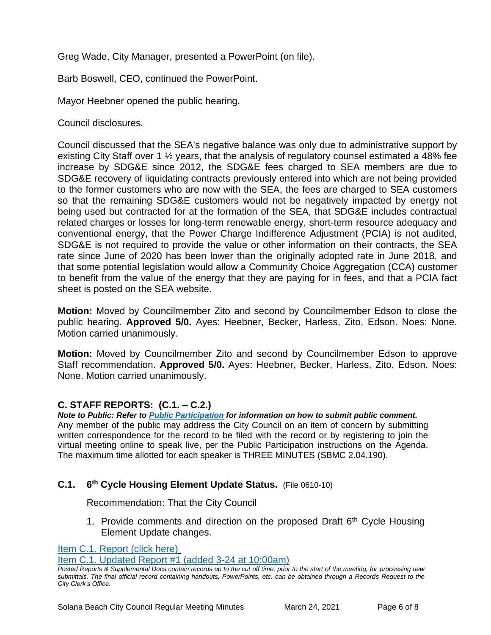Greg Wade, City Manager, presented a PowerPoint (on file).

Barb Boswell, CEO, continued the PowerPoint.

Mayor Heebner opened the public hearing.

Council disclosures.

Council discussed that the SEA's negative balance was only due to administrative support by existing City Staff over 1 ½ years, that the analysis of regulatory counsel estimated a 48% fee increase by SDG&E since 2012, the SDG&E fees charged to SEA members are due to SDG&E recovery of liquidating contracts previously entered into which are not being provided to the former customers who are now with the SEA, the fees are charged to SEA customers so that the remaining SDG&E customers would not be negatively impacted by energy not being used but contracted for at the formation of the SEA, that SDG&E includes contractual related charges or losses for long-term renewable energy, short-term resource adequacy and conventional energy, that the Power Charge Indifference Adjustment (PCIA) is not audited, SDG&E is not required to provide the value or other information on their contracts, the SEA rate since June of 2020 has been lower than the originally adopted rate in June 2018, and that some potential legislation would allow a Community Choice Aggregation (CCA) customer to benefit from the value of the energy that they are paying for in fees, and that a PCIA fact sheet is posted on the SEA website.

**Motion:** Moved by Councilmember Zito and second by Councilmember Edson to close the public hearing. **Approved 5/0.** Ayes: Heebner, Becker, Harless, Zito, Edson. Noes: None. Motion carried unanimously.

**Motion:** Moved by Councilmember Zito and second by Councilmember Edson to approve Staff recommendation. **Approved 5/0.** Ayes: Heebner, Becker, Harless, Zito, Edson. Noes: None. Motion carried unanimously.

# **C. STAFF REPORTS: (C.1. – C.2.)**

*Note to Public: Refer to Public Participation for information on how to submit public comment.*  Any member of the public may address the City Council on an item of concern by submitting written correspondence for the record to be filed with the record or by registering to join the virtual meeting online to speak live, per the Public Participation instructions on the Agenda. The maximum time allotted for each speaker is THREE MINUTES (SBMC 2.04.190).

#### **C.1. 6 th Cycle Housing Element Update Status.** (File 0610-10)

Recommendation: That the City Council

1. Provide comments and direction on the proposed Draft  $6<sup>th</sup>$  Cycle Housing Element Update changes.

[Item C.1. Report \(click here\)](https://solanabeach.govoffice3.com/vertical/Sites/%7B840804C2-F869-4904-9AE3-720581350CE7%7D/uploads/Item_C.1._Report_(click_here)_03-24-21_O.pdf)

[Item C.1. Updated Report #1 \(added 3-24 at 10:00am\)](https://solanabeach.govoffice3.com/vertical/Sites/%7B840804C2-F869-4904-9AE3-720581350CE7%7D/uploads/Item_C.1._Updated_Report_1_(Updated_3-24_at_9am).pdf)

*Posted Reports & Supplemental Docs contain records up to the cut off time, prior to the start of the meeting, for processing new submittals. The final official record containing handouts, PowerPoints, etc. can be obtained through a Records Request to the City Clerk's Office.*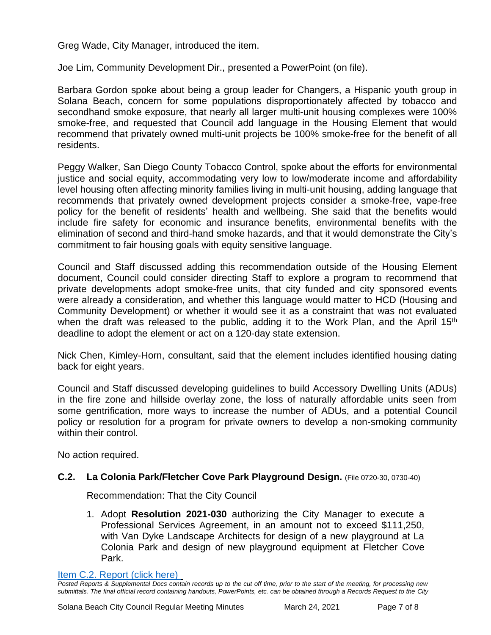Greg Wade, City Manager, introduced the item.

Joe Lim, Community Development Dir., presented a PowerPoint (on file).

Barbara Gordon spoke about being a group leader for Changers, a Hispanic youth group in Solana Beach, concern for some populations disproportionately affected by tobacco and secondhand smoke exposure, that nearly all larger multi-unit housing complexes were 100% smoke-free, and requested that Council add language in the Housing Element that would recommend that privately owned multi-unit projects be 100% smoke-free for the benefit of all residents.

Peggy Walker, San Diego County Tobacco Control, spoke about the efforts for environmental justice and social equity, accommodating very low to low/moderate income and affordability level housing often affecting minority families living in multi-unit housing, adding language that recommends that privately owned development projects consider a smoke-free, vape-free policy for the benefit of residents' health and wellbeing. She said that the benefits would include fire safety for economic and insurance benefits, environmental benefits with the elimination of second and third-hand smoke hazards, and that it would demonstrate the City's commitment to fair housing goals with equity sensitive language.

Council and Staff discussed adding this recommendation outside of the Housing Element document, Council could consider directing Staff to explore a program to recommend that private developments adopt smoke-free units, that city funded and city sponsored events were already a consideration, and whether this language would matter to HCD (Housing and Community Development) or whether it would see it as a constraint that was not evaluated when the draft was released to the public, adding it to the Work Plan, and the April 15<sup>th</sup> deadline to adopt the element or act on a 120-day state extension.

Nick Chen, Kimley-Horn, consultant, said that the element includes identified housing dating back for eight years.

Council and Staff discussed developing guidelines to build Accessory Dwelling Units (ADUs) in the fire zone and hillside overlay zone, the loss of naturally affordable units seen from some gentrification, more ways to increase the number of ADUs, and a potential Council policy or resolution for a program for private owners to develop a non-smoking community within their control.

No action required.

# **C.2. La Colonia Park/Fletcher Cove Park Playground Design.** (File 0720-30, 0730-40)

Recommendation: That the City Council

1. Adopt **Resolution 2021-030** authorizing the City Manager to execute a Professional Services Agreement, in an amount not to exceed \$111,250, with Van Dyke Landscape Architects for design of a new playground at La Colonia Park and design of new playground equipment at Fletcher Cove Park.

[Item C.2. Report](https://solanabeach.govoffice3.com/vertical/Sites/%7B840804C2-F869-4904-9AE3-720581350CE7%7D/uploads/Item_C.2._Report_(click_here)_03-24-21_O.pdf) (click here)

*Posted Reports & Supplemental Docs contain records up to the cut off time, prior to the start of the meeting, for processing new submittals. The final official record containing handouts, PowerPoints, etc. can be obtained through a Records Request to the City*